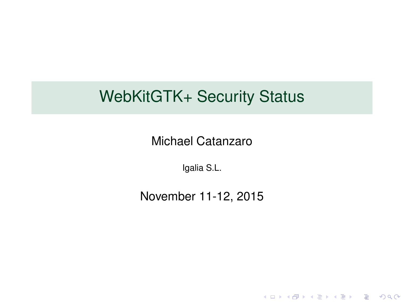### WebKitGTK+ Security Status

Michael Catanzaro

Igalia S.L.

November 11-12, 2015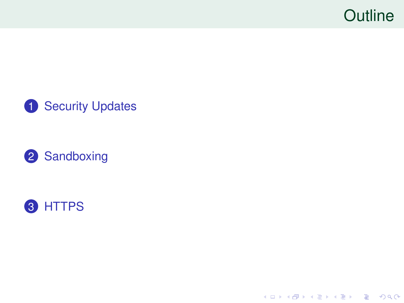# **Outline**



#### [Sandboxing](#page-14-0)



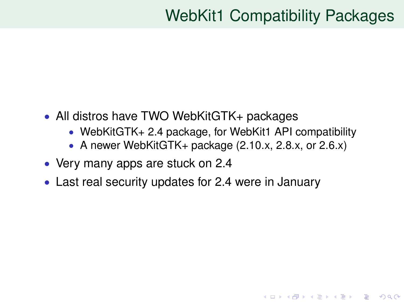# WebKit1 Compatibility Packages

**KORK ERKER ADAM ADA** 

- <span id="page-2-0"></span>• All distros have TWO WebKitGTK+ packages
	- WebKitGTK+ 2.4 package, for WebKit1 API compatibility
	- A newer WebKitGTK+ package (2.10.x, 2.8.x, or 2.6.x)
- Very many apps are stuck on 2.4
- Last real security updates for 2.4 were in January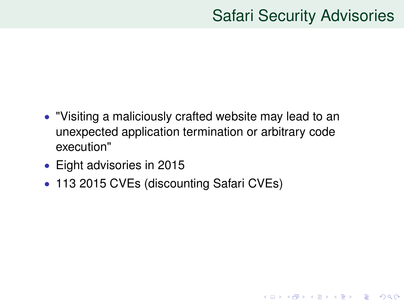# Safari Security Advisories

- "Visiting a maliciously crafted website may lead to an unexpected application termination or arbitrary code execution"
- Eight advisories in 2015
- 113 2015 CVEs (discounting Safari CVEs)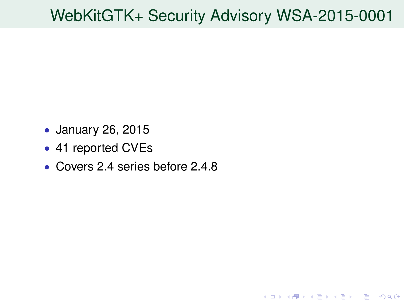# WebKitGTK+ Security Advisory WSA-2015-0001

- January 26, 2015
- 41 reported CVEs
- Covers 2.4 series before 2.4.8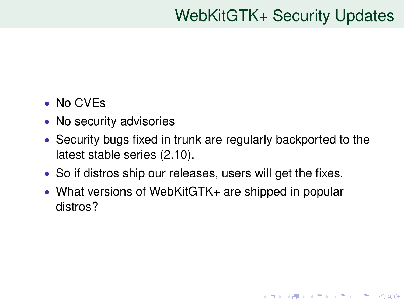# WebKitGTK+ Security Updates

**KORKARA KERKER DAGA** 

- No CVEs
- No security advisories
- Security bugs fixed in trunk are regularly backported to the latest stable series (2.10).
- So if distros ship our releases, users will get the fixes.
- What versions of WebKitGTK+ are shipped in popular distros?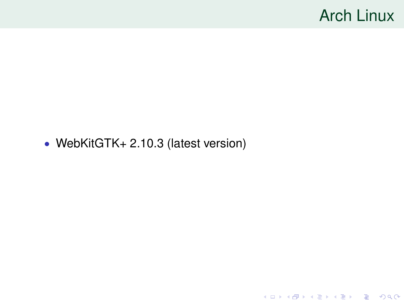### Arch Linux

**Kロトメ部トメミトメミト ミニのQC** 

#### • WebKitGTK+ 2.10.3 (latest version)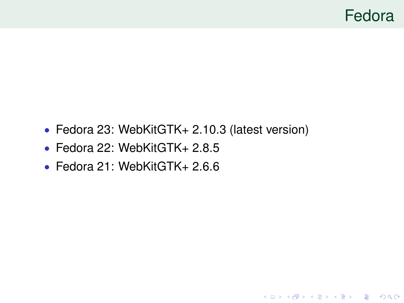### Fedora

- Fedora 23: WebKitGTK+ 2.10.3 (latest version)
- Fedora 22: WebKitGTK+ 2.8.5
- Fedora 21: WebKitGTK+ 2.6.6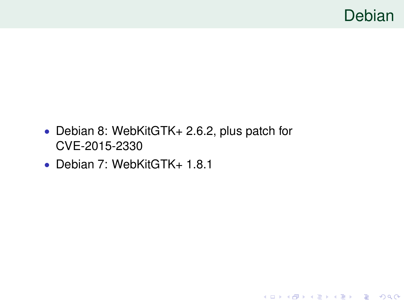

KOKK@KKEKKEK E 1990

- Debian 8: WebKitGTK+ 2.6.2, plus patch for CVE-2015-2330
- Debian 7: WebKitGTK+ 1.8.1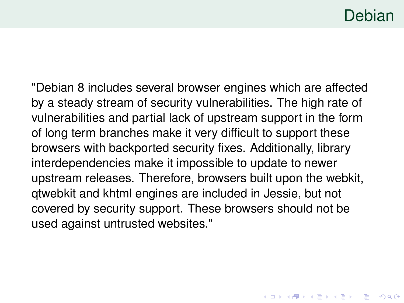### Debian

K □ K K 레 K K 레 K X H X X X K K X X X X X X X X

"Debian 8 includes several browser engines which are affected by a steady stream of security vulnerabilities. The high rate of vulnerabilities and partial lack of upstream support in the form of long term branches make it very difficult to support these browsers with backported security fixes. Additionally, library interdependencies make it impossible to update to newer upstream releases. Therefore, browsers built upon the webkit, qtwebkit and khtml engines are included in Jessie, but not covered by security support. These browsers should not be used against untrusted websites."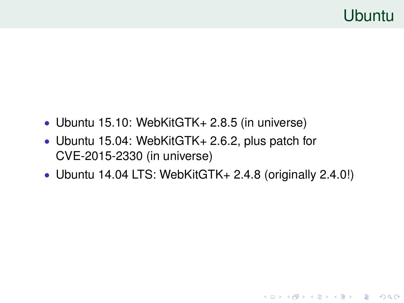- Ubuntu 15.10: WebKitGTK+ 2.8.5 (in universe)
- Ubuntu 15.04: WebKitGTK+ 2.6.2, plus patch for CVE-2015-2330 (in universe)
- Ubuntu 14.04 LTS: WebKitGTK+ 2.4.8 (originally 2.4.0!)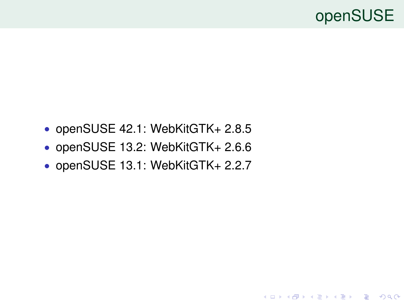### openSUSE

- openSUSE 42.1: WebKitGTK+ 2.8.5
- openSUSE 13.2: WebKitGTK+ 2.6.6
- openSUSE 13.1: WebKitGTK+ 2.2.7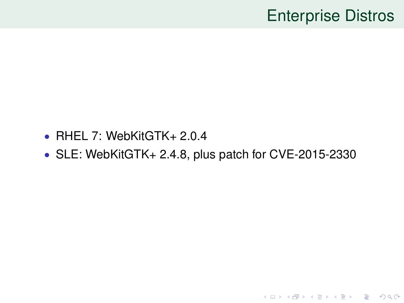## Enterprise Distros

- RHEL 7: WebKitGTK+ 2.0.4
- SLE: WebKitGTK+ 2.4.8, plus patch for CVE-2015-2330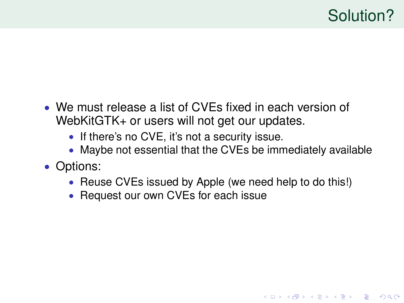**KORK ERKER ADAM ADA** 

- We must release a list of CVEs fixed in each version of WebKitGTK+ or users will not get our updates.
	- If there's no CVE, it's not a security issue.
	- Maybe not essential that the CVEs be immediately available
- Options:
	- Reuse CVEs issued by Apple (we need help to do this!)
	- Request our own CVEs for each issue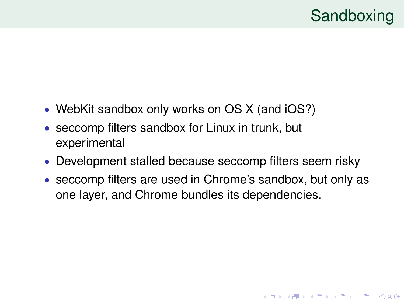**KOD KOD KED KED E VAN** 

- <span id="page-14-0"></span>• WebKit sandbox only works on OS X (and iOS?)
- seccomp filters sandbox for Linux in trunk, but experimental
- Development stalled because seccomp filters seem risky
- seccomp filters are used in Chrome's sandbox, but only as one layer, and Chrome bundles its dependencies.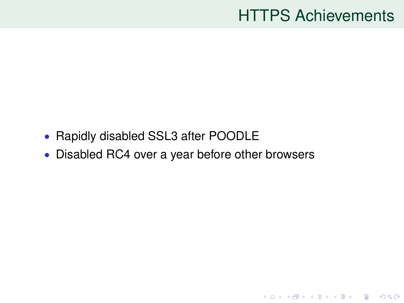### HTTPS Achievements

- <span id="page-15-0"></span>• Rapidly disabled SSL3 after POODLE
- Disabled RC4 over a year before other browsers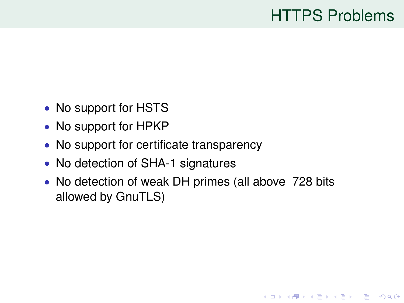# HTTPS Problems

KEL KALEY KEY E NAG

- No support for HSTS
- No support for HPKP
- No support for certificate transparency
- No detection of SHA-1 signatures
- No detection of weak DH primes (all above 728 bits allowed by GnuTLS)